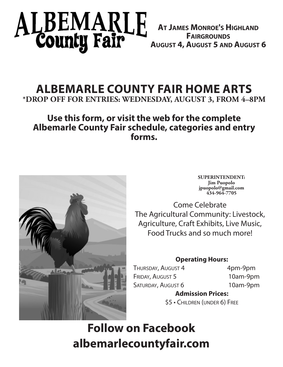# ALBEMARLE<br>County Fair

**At James Monroe's Highland Fairgrounds August 4, August 5 and August 6**

# **ALBEMARLE COUNTY FAIR HOME ARTS \*DROP OFF FOR ENTRIES: WEDNESDAY, AUGUST 3, FROM 4–8PM**

# **Use this form, or visit the web for the complete Albemarle County Fair schedule, categories and entry forms.**



**SUPERINTENDENT: Jim Puopolo jpuopolo@gmail.com 434-964-7705**

Come Celebrate The Agricultural Community: Livestock, Agriculture, Craft Exhibits, Live Music, Food Trucks and so much more!

# **Operating Hours:**

THURSDAY, AUGUST 4 4pm-9pm FRIDAY, AUGUST 5 10am-9pm SATURDAY, AUGUST 6 10am-9pm

# **Admission Prices:**

\$5 • Children (under 6) Free

# **Follow on Facebook albemarlecountyfair.com**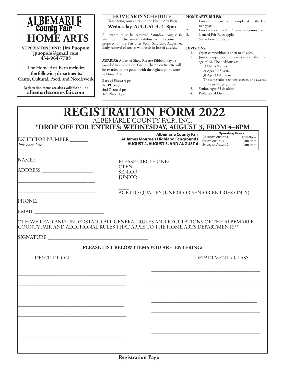| <b>ALBEMARLE</b><br>County Fair |
|---------------------------------|
| <b>HOME ARTS</b>                |

**SUPERINTENDENT: Jim Puopolo jpuopolo@gmail.com 434-964-7705**

**The Home Arts Barn includes the following departments: Crafts, Cultural, Food, and Needlework**

**Registration forms are also available on line albemarlecountyfair.com**

#### **HOME ARTS SCHEDULE** Please bring your entries to the Home Arts Barn **Wednesday, AUGUST 3, 4–8pm**

All entries must be removed Saturday, August 6, 3. after 8pm. Unclaimed exhibits will become the property of the Fair after 9pm, Saturday, August 6. Early removal of entries will result in loss of awards.

**AWARDS:** A Best of Show Rosette Ribbon may be awarded in any section. Grand Champion Rosette will be awarded to the person with the highest point score in Home Arts.

**Best of Show:** 4 pts **1st Place:** 3 pts **2nd Place:** 2 pts **3rd Place:** 1 pt

#### **HOME ARTS RULES:**

- 1. Entry must have been completed in the last two years.
- 2. Entry never entered in Albemarle County Fair.
	- General Fair Rules apply. See website for details.

#### **DIVISIONS:**

- 1. Open competition is open to all ages.
- 2. Junior competition is open to anyone thru the age of 18. The divisions are:
	- 1) Under 9 years
	- 2) Ages 9-13 years
	- 3) Ages 14-18 years
	- The same rules, sections, classes, and awards apply to all age groups.
- 3. Senior, Ages 65 & older.
- 4. Professional Division.

# **REGISTRATION FORM 2022** ALBEMARLE COUNTY FAIR, INC. **\*DROP OFF FOR ENTRIES: WEDNESDAY, AUGUST 3, FROM 4–8PM**

PLEASE CIRCLE ONE:

OPEN SENIOR *IUNIOR* 

EXHIBITOR NUMBER \_\_\_\_\_\_\_ *For Fair Use*

**Albemarle County Fair** Derat<br>**I Hurkland Fairgree unde** Thursday, August 4 **At James Monroe's Highland Fairgrounds** FRIDAY, AUGUST 5 **AUGUST 4, AUGUST 5, AND AUGUST 6** SATURD AY, AUGUST 6 10am-9pm

4pm-9pm 10am-9pm **Operating Hours:**

 $NAME:$ 

ADDRESS:\_\_\_\_\_\_\_\_\_\_\_\_\_\_\_\_\_\_\_\_

\_\_\_\_\_\_\_\_\_\_\_\_\_\_\_\_\_\_\_\_\_\_\_\_\_\_\_\_\_\_

\_\_\_\_\_\_\_\_\_\_\_\_\_\_\_\_\_\_\_\_\_\_\_\_\_\_\_\_\_\_

 $\overline{\phantom{a}}$ AGE (TO QUALIFY JUNIOR OR SENIOR ENTRIES ONLY)

| PHONE |  |  |  |  |
|-------|--|--|--|--|
|       |  |  |  |  |
|       |  |  |  |  |
|       |  |  |  |  |
|       |  |  |  |  |

EMAIL:

\*\*I HAVE READ AND UNDERSTAND ALL GENERAL RULES AND REGULATIONS OF THE ALBEMARLE COUNTY FAIR AND ADDITIONAL RULES THAT APPLY TO THE HOME ARTS DEPARTMENTS\*\*

SIGNATURE:

#### **PLEASE LIST BELOW ITEMS YOU ARE ENTERING:**

\_\_\_\_\_\_\_\_\_\_\_\_\_\_\_\_\_\_\_\_\_\_\_\_\_\_\_\_\_\_\_\_\_\_\_\_\_\_\_\_\_\_

\_\_\_\_\_\_\_\_\_\_\_\_\_\_\_\_\_\_\_\_\_\_\_\_\_\_\_\_\_\_\_\_\_\_\_\_\_\_\_\_\_\_

\_\_\_\_\_\_\_\_\_\_\_\_\_\_\_\_\_\_\_\_\_\_\_\_\_\_\_\_\_\_\_\_\_\_\_\_\_\_\_\_\_\_

\_\_\_\_\_\_\_\_\_\_\_\_\_\_\_\_\_\_\_\_\_\_\_\_\_\_\_\_\_\_\_\_\_\_\_\_\_\_\_\_\_

\_\_\_\_\_\_\_\_\_\_\_\_\_\_\_\_\_\_\_\_\_\_\_\_\_\_\_\_\_\_\_\_\_\_\_\_\_\_\_\_\_\_

\_\_\_\_\_\_\_\_\_\_\_\_\_\_\_\_\_\_\_\_\_\_\_\_\_\_\_\_\_\_\_\_\_\_\_\_\_\_\_\_\_\_\_

\_\_\_\_\_\_\_\_\_\_\_\_\_\_\_\_\_\_\_\_\_\_\_\_\_\_\_\_\_\_\_\_\_\_\_\_\_\_\_\_\_\_

DESCRIPTION DEPARTMENT / CLASS

\_\_\_\_\_\_\_\_\_\_\_\_\_\_\_\_\_\_\_\_\_\_\_\_\_\_\_\_\_\_\_\_\_\_\_\_\_\_\_\_\_\_

\_\_\_\_\_\_\_\_\_\_\_\_\_\_\_\_\_\_\_\_\_\_\_\_\_\_\_\_\_\_\_\_\_\_\_\_\_\_\_\_\_\_

\_\_\_\_\_\_\_\_\_\_\_\_\_\_\_\_\_\_\_\_\_\_\_\_\_\_\_\_\_\_\_\_\_\_\_\_\_\_\_\_\_\_

\_\_\_\_\_\_\_\_\_\_\_\_\_\_\_\_\_\_\_\_\_\_\_\_\_\_\_\_\_\_\_\_\_\_\_\_\_\_\_\_\_

\_\_\_\_\_\_\_\_\_\_\_\_\_\_\_\_\_\_\_\_\_\_\_\_\_\_\_\_\_\_\_\_\_\_\_\_\_\_\_\_\_\_

\_\_\_\_\_\_\_\_\_\_\_\_\_\_\_\_\_\_\_\_\_\_\_\_\_\_\_\_\_\_\_\_\_\_\_\_\_\_\_\_\_\_\_

\_\_\_\_\_\_\_\_\_\_\_\_\_\_\_\_\_\_\_\_\_\_\_\_\_\_\_\_\_\_\_\_\_\_\_\_\_\_\_\_\_\_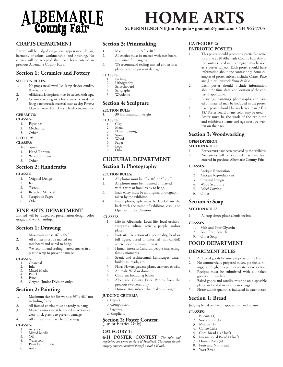

#### **CRAFTS DEPARTMENT**

Entries will be judged on general appearance, design, harmony of colors, workmanship, and finishing. No entries will be accepted that have been entered in previous Albemarle County Fairs.

#### **Section 1: Ceramics and Pottery**

#### **SECTION RULES:**

- 1. No props are allowed (i.e., lamp shades, candles, flowers, etc.).
- 2. All lids and loose pieces must be secured with tape.
- 3. Ceramics: relating to a brittle material made by firing a nonmetallic material, such as clay. Pottery: Objects molded from clay and fired by intense heat.

#### **CERAMICS:**

#### **CLASSES:**

- 1. Figurines
- 2. Mechanical
- 3. Other

#### **POTTERY:**

#### **CLASSES:**

- **Techniques**
- 1. Hand Thrown
- 2. Wheel Thrown
- 3. Other

#### **Section 2: Handcrafts**

#### **CLASSES:**

- 1. Original Design
- Kit
- 3. Wreath
- 4. Recycled Material
- 5. Scrapbook Pages<br>6. Other
- Other

#### **FINE ARTS DEPARTMENT**

Entried will be judged on presentation design, color usage, and workmanship.

#### **Section 1: Drawing**

- 1. Maximum size is 36" x 48."
- 2. All entries must be matted on mat board and wired to hang.
- 3. We recommend sealing matted entries in a plastic wrap to prevent damage.

- **CLASSES:**
	- 1. Charcoal<br>2. Inks
	- 2. Inks 3. Mixed Media
	- 4. Pastel<br>5. Pencil
	- 5. Pencil
	- 6. Crayon (Junior Division only)

#### **Section 2: Painting**

- 1. Maximum size for flat work is 36" x 48," not including frame.
- 2. All framed entries must be ready to hang.
- 3. Matted entries must be sealed in acetate or clear thick plastic to prevent damage.
- 4. All entries must have hard backing.

#### **CLASSES:**

- 1. Acrylics<br>2. Mixed M
- 2. Mixed Media
- 3. Oil<br>4. Wat<br>5. Pain Watercolor
- Paint by numbers
- 6. Airbrush

#### **Section 3: Printmaking**

- 1. Maximum size is 36" x 48."
- 2. All entries must be matted with mat board and wired for hanging.
- 3. We recommend sealing matted entries in a plastic wrap to prevent damage.

### **CLASSES:**

- 1. Etching<br>2. Lithogra
- 2. Lithography<br>3. Scratchboard
- 3. Scratchboard<br>4. Serigraphy
- Serigraphy
- 5. Woodcuts

#### **Section 4: Sculpture**

#### **SECTION RULE:**

1. 30 lbs. maximum weight

- **CLASSES:**
	- 1. Clay<br>2. Meta
	- 2. Metal<br>3. Plaster 3. Plaster Casting<br>4. Stone
	-
	- 4. Stone<br>5. Wood 5. Wood
	- 6. Paper<br>7. Lego
	- 7. Lego Other

#### **CULTURAL DEPARTMENT Section 1: Photography**

# **SECTION RULES:**<br>1. All photos n

- All photos must be  $8" \times 10"$  or  $5" \times 7."$
- 2. All photos must be mounted or matted with a wire or hook ready to hang.
- 3. Each entry must be an original photograph taken by the exhibitor.
- 4. Every photograph must be labeled on the back with the name of exhibitor, class, and Open or Junior Division.

#### **CLASSES:**

- 1. Life in Albemarle: Local life, local orchard, vineyards, culture, activity, people, and/or places
- 2. Portraits: Depiction of a personality, head or full figure, posed or informal (not candid) where person is main interest
- 3. Human interest: Candids, people interacting, family moments
- 4. Scenic and architectural: Landscapes, water, buildings, roads, etc.
- 5. Floral: Flowers, gardens, plants, cultivated or wild.<br>6. Animals: Wild or domestic
- 6. Animals: Wild or domestic
- 7. Children: Including babies
- 8. Albemarle County Fairs: Photos from the previous two years only
- 9. Humor: Any subject that makes us laugh!

#### **JUDGING CRITERIA**

- a. Impact
- b. Composition
- c. Lighting d. Simplicity
- 

# **Section 2: Poster Contest** (Junior Entries Only)

#### **CATEGORY 1:**

**4-H POSTER CONTEST** *The rules and regulations are posted in the 4-H Handbook. The entries for this category must be submitted through a local 4-H club.* 

#### **CATEGORY 2: PATRIOTIC POSTER**

**HOME ARTS** 

**SUPERINTENDENT: Jim Puopolo • jpuopolo@gmail.com • 434-964-7705**

- 1. This poster should promote a particular activity at the 2020 Albemarle County Fair. Any of the contests listed in this program may be used as a poster subject. Each poster should have information about one contest only. Some examples of poster subject include: Critter Race and Junior Livestock Show & Sale.
- 2. Each poster should include information about the time, date, and location of the contest if applicable.
- 3. Drawings, paintings, photographs, and pasted on material may be included in the poster.
- 4. Each poster should be no larger than 24" x 18."Poster board of any color may be used. 5. Poster must be the work of the exhibitor,

1. Entries must have been prepared by the exhibitor. 2. No entries will be accepted that have been entered in previous Albemarle County Fairs.

ten on the back. **Section 3: Woodworking**

1. Antique Restoration 2. Antique Reproductions 3. Original Design 4. Wood Sculpture 5. Relief Carving 6. Other

**Section 4: Soap SECTION RULES** 

1. All soap classes, please submit one bar.

1. Melt and Pour Glycerin 2. Soap from Scratch 3. Other Soap

**FOOD DEPARTMENT DEPARTMENT RULES**

goods and candies.

**Section 1: Bread**

**CLASSES**: 1. Biscuits (4) 2. Sweet Rolls (4) 3. Muffins (4) 4. Coffee Cake 5. Corn Bread (1/2 loaf) 6. International Bread (1 loaf) 7. Dinner Rolls (4) 8. Fruit and Nut Bread 9. Yeast Bread

1. All baked goods become property of the Fair. No commercially prepared mixes, pie shells, fillings, or dough, except in decorated cake section. 3. Recipes must be submitted with all baked

4. Baked goods and candies must be on disposable plates and sealed in clear plastic bags. 5. Please submit quantities indicated in parentheses.

Judging based on flavor, appearance, and texture.

**OPEN DIVISION SECTION RULES**

**CLASSES:**

**CLASSES:**

and exhibitor's name and age must be writ-